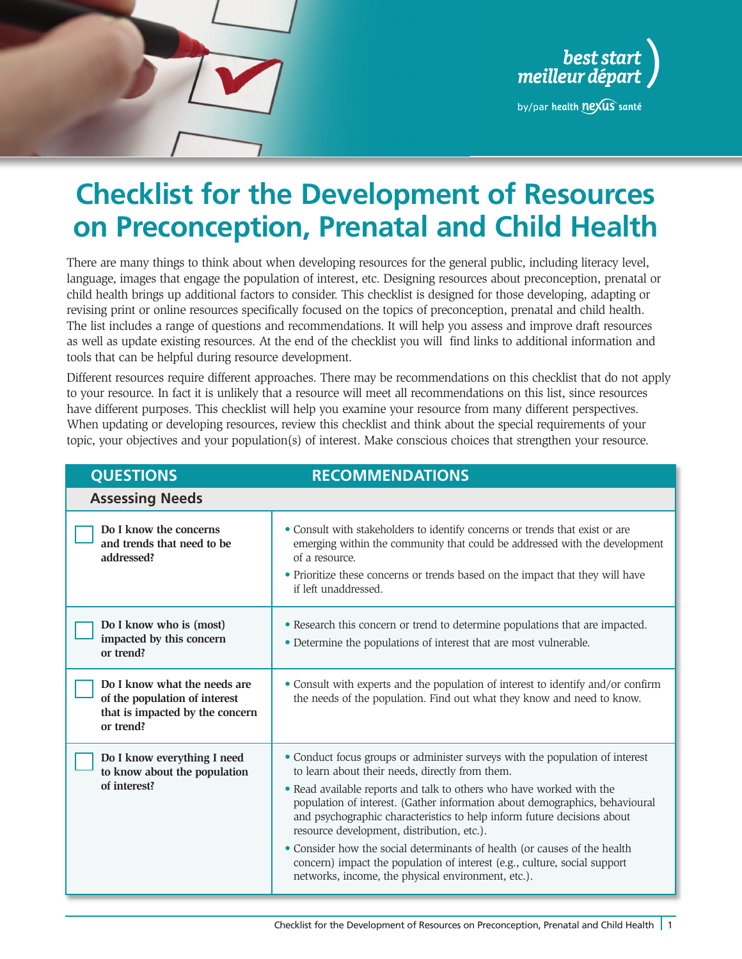



by/par health nexus santé

# **Checklist for the Development of Resources on Preconception, Prenatal and Child Health**

There are many things to think about when developing resources for the general public, including literacy level, language, images that engage the population of interest, etc. Designing resources about preconception, prenatal or child health brings up additional factors to consider. This checklist is designed for those developing, adapting or revising print or online resources specifically focused on the topics of preconception, prenatal and child health. The list includes a range of questions and recommendations. It will help you assess and improve draft resources as well as update existing resources. At the end of the checklist you will find links to additional information and tools that can be helpful during resource development.

Different resources require different approaches. There may be recommendations on this checklist that do not apply to your resource. In fact it is unlikely that a resource will meet all recommendations on this list, since resources have different purposes. This checklist will help you examine your resource from many different perspectives. When updating or developing resources, review this checklist and think about the special requirements of your topic, your objectives and your population(s) of interest. Make conscious choices that strengthen your resource.

| <b>QUESTIONS</b>                                                                                              | <b>RECOMMENDATIONS</b>                                                                                                                                                                                                                                                                                                                                                                                                                                                                                                                                                                                                          |
|---------------------------------------------------------------------------------------------------------------|---------------------------------------------------------------------------------------------------------------------------------------------------------------------------------------------------------------------------------------------------------------------------------------------------------------------------------------------------------------------------------------------------------------------------------------------------------------------------------------------------------------------------------------------------------------------------------------------------------------------------------|
| <b>Assessing Needs</b>                                                                                        |                                                                                                                                                                                                                                                                                                                                                                                                                                                                                                                                                                                                                                 |
| Do I know the concerns<br>and trends that need to be<br>addressed?                                            | • Consult with stakeholders to identify concerns or trends that exist or are<br>emerging within the community that could be addressed with the development<br>of a resource.<br>• Prioritize these concerns or trends based on the impact that they will have<br>if left unaddressed.                                                                                                                                                                                                                                                                                                                                           |
| Do I know who is (most)<br>impacted by this concern<br>or trend?                                              | • Research this concern or trend to determine populations that are impacted.<br>• Determine the populations of interest that are most vulnerable.                                                                                                                                                                                                                                                                                                                                                                                                                                                                               |
| Do I know what the needs are<br>of the population of interest<br>that is impacted by the concern<br>or trend? | • Consult with experts and the population of interest to identify and/or confirm<br>the needs of the population. Find out what they know and need to know.                                                                                                                                                                                                                                                                                                                                                                                                                                                                      |
| Do I know everything I need<br>to know about the population<br>of interest?                                   | • Conduct focus groups or administer surveys with the population of interest<br>to learn about their needs, directly from them.<br>• Read available reports and talk to others who have worked with the<br>population of interest. (Gather information about demographics, behavioural<br>and psychographic characteristics to help inform future decisions about<br>resource development, distribution, etc.).<br>• Consider how the social determinants of health (or causes of the health<br>concern) impact the population of interest (e.g., culture, social support<br>networks, income, the physical environment, etc.). |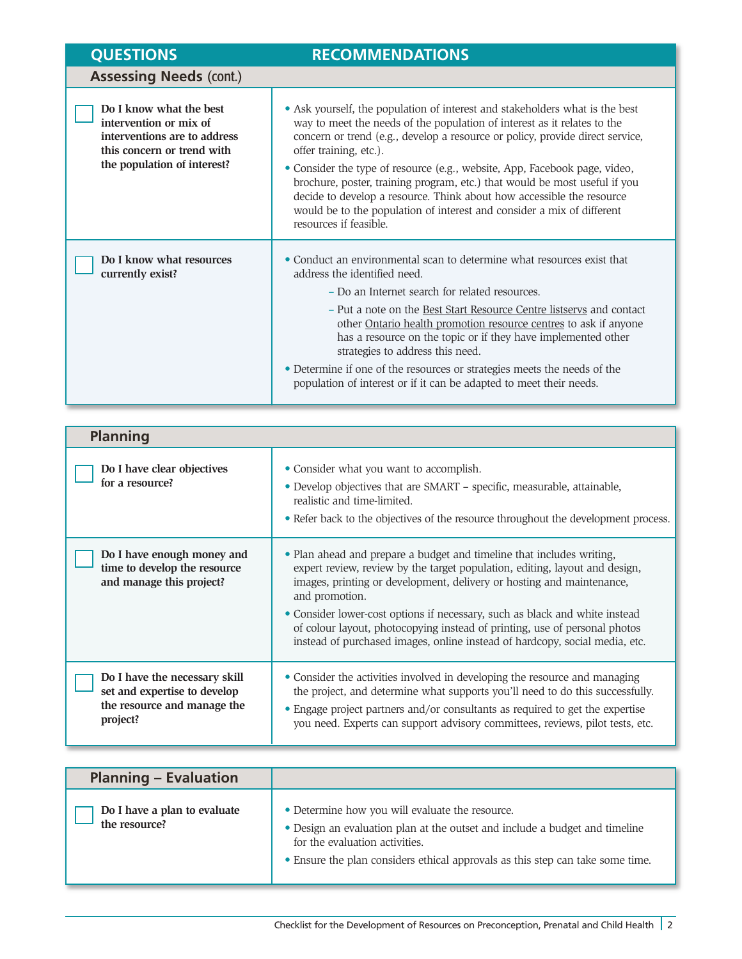| <b>QUESTIONS</b>                                                                                                                               | <b>RECOMMENDATIONS</b>                                                                                                                                                                                                                                                                                                                                                                                                                                                                                                                                                                                       |
|------------------------------------------------------------------------------------------------------------------------------------------------|--------------------------------------------------------------------------------------------------------------------------------------------------------------------------------------------------------------------------------------------------------------------------------------------------------------------------------------------------------------------------------------------------------------------------------------------------------------------------------------------------------------------------------------------------------------------------------------------------------------|
| <b>Assessing Needs (cont.)</b>                                                                                                                 |                                                                                                                                                                                                                                                                                                                                                                                                                                                                                                                                                                                                              |
| Do I know what the best<br>intervention or mix of<br>interventions are to address<br>this concern or trend with<br>the population of interest? | • Ask yourself, the population of interest and stakeholders what is the best<br>way to meet the needs of the population of interest as it relates to the<br>concern or trend (e.g., develop a resource or policy, provide direct service,<br>offer training, etc.).<br>• Consider the type of resource (e.g., website, App, Facebook page, video,<br>brochure, poster, training program, etc.) that would be most useful if you<br>decide to develop a resource. Think about how accessible the resource<br>would be to the population of interest and consider a mix of different<br>resources if feasible. |
| Do I know what resources<br>currently exist?                                                                                                   | • Conduct an environmental scan to determine what resources exist that<br>address the identified need.<br>- Do an Internet search for related resources.<br>- Put a note on the Best Start Resource Centre listservs and contact<br>other Ontario health promotion resource centres to ask if anyone<br>has a resource on the topic or if they have implemented other<br>strategies to address this need.<br>• Determine if one of the resources or strategies meets the needs of the<br>population of interest or if it can be adapted to meet their needs.                                                 |

| <b>Planning</b>                                                                                          |                                                                                                                                                                                                                                                                                                                                                                                                                                                                                             |
|----------------------------------------------------------------------------------------------------------|---------------------------------------------------------------------------------------------------------------------------------------------------------------------------------------------------------------------------------------------------------------------------------------------------------------------------------------------------------------------------------------------------------------------------------------------------------------------------------------------|
| Do I have clear objectives<br>for a resource?                                                            | • Consider what you want to accomplish.<br>• Develop objectives that are SMART - specific, measurable, attainable,<br>realistic and time-limited.<br>• Refer back to the objectives of the resource throughout the development process.                                                                                                                                                                                                                                                     |
| Do I have enough money and<br>time to develop the resource<br>and manage this project?                   | • Plan ahead and prepare a budget and timeline that includes writing,<br>expert review, review by the target population, editing, layout and design,<br>images, printing or development, delivery or hosting and maintenance,<br>and promotion.<br>• Consider lower-cost options if necessary, such as black and white instead<br>of colour layout, photocopying instead of printing, use of personal photos<br>instead of purchased images, online instead of hardcopy, social media, etc. |
| Do I have the necessary skill<br>set and expertise to develop<br>the resource and manage the<br>project? | • Consider the activities involved in developing the resource and managing<br>the project, and determine what supports you'll need to do this successfully.<br>• Engage project partners and/or consultants as required to get the expertise<br>you need. Experts can support advisory committees, reviews, pilot tests, etc.                                                                                                                                                               |

| <b>Planning - Evaluation</b>                  |                                                                                                                                                                                                                                                    |
|-----------------------------------------------|----------------------------------------------------------------------------------------------------------------------------------------------------------------------------------------------------------------------------------------------------|
| Do I have a plan to evaluate<br>the resource? | • Determine how you will evaluate the resource.<br>• Design an evaluation plan at the outset and include a budget and timeline<br>for the evaluation activities.<br>• Ensure the plan considers ethical approvals as this step can take some time. |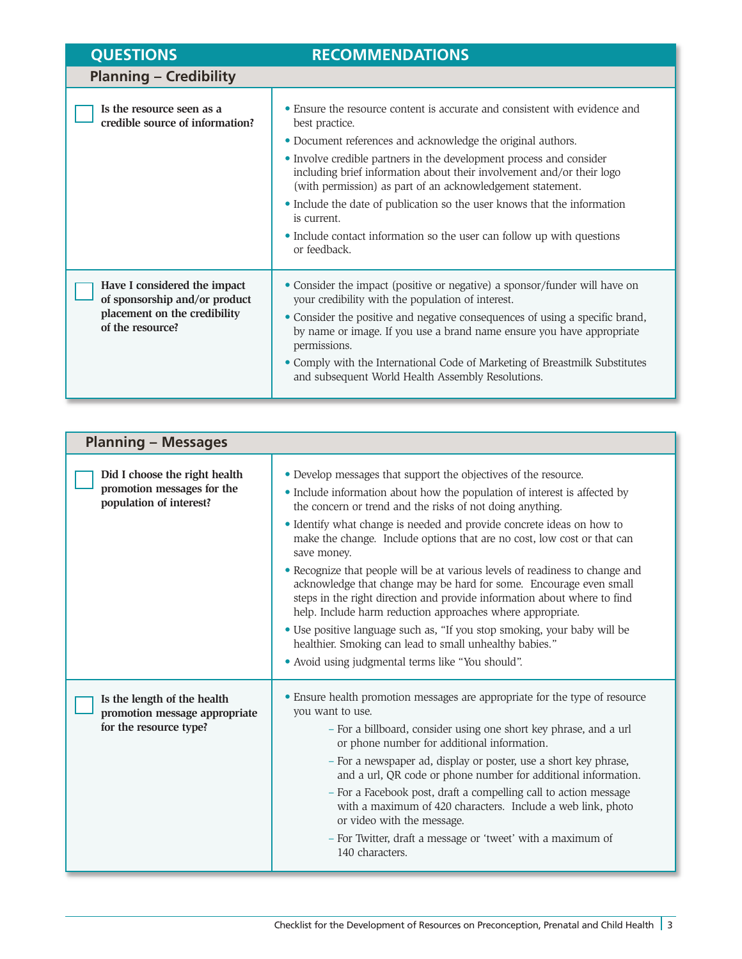| <b>QUESTIONS</b>                                                                                                  | <b>RECOMMENDATIONS</b>                                                                                                                                                                                                                                                                                                                                                                                                                                                                                                                                         |
|-------------------------------------------------------------------------------------------------------------------|----------------------------------------------------------------------------------------------------------------------------------------------------------------------------------------------------------------------------------------------------------------------------------------------------------------------------------------------------------------------------------------------------------------------------------------------------------------------------------------------------------------------------------------------------------------|
| <b>Planning - Credibility</b>                                                                                     |                                                                                                                                                                                                                                                                                                                                                                                                                                                                                                                                                                |
| Is the resource seen as a<br>credible source of information?                                                      | • Ensure the resource content is accurate and consistent with evidence and<br>best practice.<br>• Document references and acknowledge the original authors.<br>• Involve credible partners in the development process and consider<br>including brief information about their involvement and/or their logo<br>(with permission) as part of an acknowledgement statement.<br>• Include the date of publication so the user knows that the information<br>is current.<br>• Include contact information so the user can follow up with questions<br>or feedback. |
| Have I considered the impact<br>of sponsorship and/or product<br>placement on the credibility<br>of the resource? | • Consider the impact (positive or negative) a sponsor/funder will have on<br>your credibility with the population of interest.<br>• Consider the positive and negative consequences of using a specific brand,<br>by name or image. If you use a brand name ensure you have appropriate<br>permissions.<br>• Comply with the International Code of Marketing of Breastmilk Substitutes<br>and subsequent World Health Assembly Resolutions.                                                                                                                   |

| <b>Planning - Messages</b>                                                             |                                                                                                                                                                                                                                                                                                                                                                                                                                                                                                                                                                                                                                                                                                                                                                                                                                                                          |
|----------------------------------------------------------------------------------------|--------------------------------------------------------------------------------------------------------------------------------------------------------------------------------------------------------------------------------------------------------------------------------------------------------------------------------------------------------------------------------------------------------------------------------------------------------------------------------------------------------------------------------------------------------------------------------------------------------------------------------------------------------------------------------------------------------------------------------------------------------------------------------------------------------------------------------------------------------------------------|
| Did I choose the right health<br>promotion messages for the<br>population of interest? | • Develop messages that support the objectives of the resource.<br>• Include information about how the population of interest is affected by<br>the concern or trend and the risks of not doing anything.<br>• Identify what change is needed and provide concrete ideas on how to<br>make the change. Include options that are no cost, low cost or that can<br>save money.<br>• Recognize that people will be at various levels of readiness to change and<br>acknowledge that change may be hard for some. Encourage even small<br>steps in the right direction and provide information about where to find<br>help. Include harm reduction approaches where appropriate.<br>· Use positive language such as, "If you stop smoking, your baby will be<br>healthier. Smoking can lead to small unhealthy babies."<br>• Avoid using judgmental terms like "You should". |
| Is the length of the health<br>promotion message appropriate<br>for the resource type? | • Ensure health promotion messages are appropriate for the type of resource<br>you want to use.<br>- For a billboard, consider using one short key phrase, and a url<br>or phone number for additional information.<br>- For a newspaper ad, display or poster, use a short key phrase,<br>and a url, QR code or phone number for additional information.<br>- For a Facebook post, draft a compelling call to action message<br>with a maximum of 420 characters. Include a web link, photo<br>or video with the message.<br>- For Twitter, draft a message or 'tweet' with a maximum of<br>140 characters.                                                                                                                                                                                                                                                             |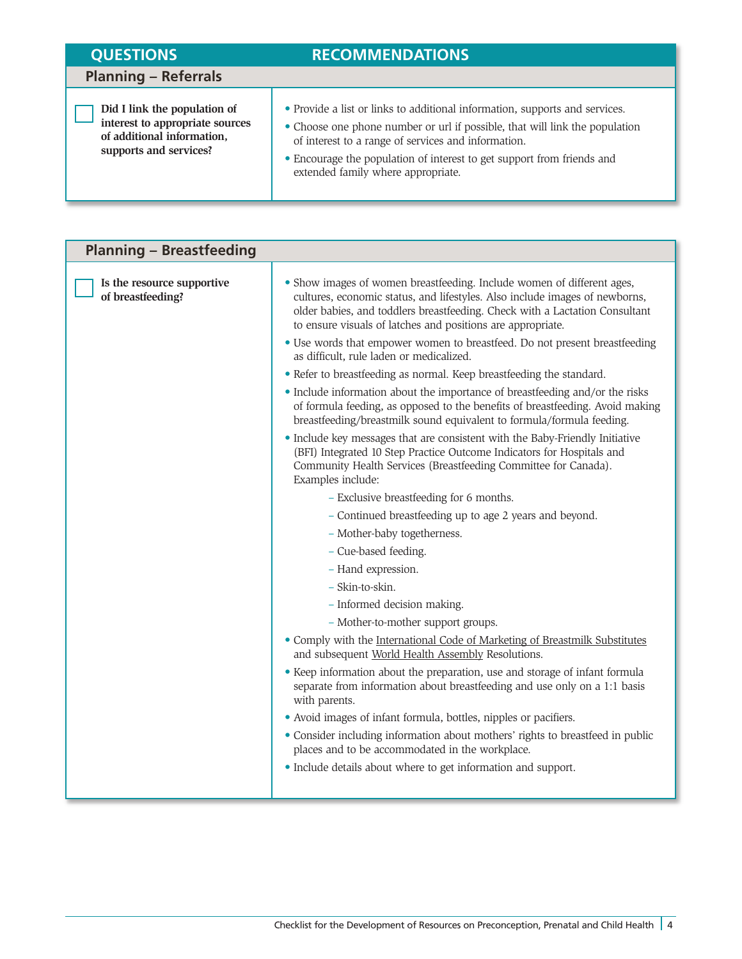| <b>QUESTIONS</b>                                                                                                        | <b>RECOMMENDATIONS</b>                                                                                                                                                                                                                                                                                                            |
|-------------------------------------------------------------------------------------------------------------------------|-----------------------------------------------------------------------------------------------------------------------------------------------------------------------------------------------------------------------------------------------------------------------------------------------------------------------------------|
| <b>Planning – Referrals</b>                                                                                             |                                                                                                                                                                                                                                                                                                                                   |
| Did I link the population of<br>interest to appropriate sources<br>of additional information,<br>supports and services? | • Provide a list or links to additional information, supports and services.<br>• Choose one phone number or url if possible, that will link the population<br>of interest to a range of services and information.<br>• Encourage the population of interest to get support from friends and<br>extended family where appropriate. |

| <b>Planning - Breastfeeding</b>                 |                                                                                                                                                                                                                                                                                                     |
|-------------------------------------------------|-----------------------------------------------------------------------------------------------------------------------------------------------------------------------------------------------------------------------------------------------------------------------------------------------------|
| Is the resource supportive<br>of breastfeeding? | • Show images of women breastfeeding. Include women of different ages,<br>cultures, economic status, and lifestyles. Also include images of newborns,<br>older babies, and toddlers breastfeeding. Check with a Lactation Consultant<br>to ensure visuals of latches and positions are appropriate. |
|                                                 | • Use words that empower women to breastfeed. Do not present breastfeeding<br>as difficult, rule laden or medicalized.                                                                                                                                                                              |
|                                                 | • Refer to breastfeeding as normal. Keep breastfeeding the standard.                                                                                                                                                                                                                                |
|                                                 | • Include information about the importance of breastfeeding and/or the risks<br>of formula feeding, as opposed to the benefits of breastfeeding. Avoid making<br>breastfeeding/breastmilk sound equivalent to formula/formula feeding.                                                              |
|                                                 | • Include key messages that are consistent with the Baby-Friendly Initiative<br>(BFI) Integrated 10 Step Practice Outcome Indicators for Hospitals and<br>Community Health Services (Breastfeeding Committee for Canada).<br>Examples include:                                                      |
|                                                 | - Exclusive breastfeeding for 6 months.                                                                                                                                                                                                                                                             |
|                                                 | - Continued breastfeeding up to age 2 years and beyond.                                                                                                                                                                                                                                             |
|                                                 | - Mother-baby togetherness.                                                                                                                                                                                                                                                                         |
|                                                 | - Cue-based feeding.                                                                                                                                                                                                                                                                                |
|                                                 | - Hand expression.                                                                                                                                                                                                                                                                                  |
|                                                 | - Skin-to-skin.                                                                                                                                                                                                                                                                                     |
|                                                 | - Informed decision making.                                                                                                                                                                                                                                                                         |
|                                                 | - Mother-to-mother support groups.                                                                                                                                                                                                                                                                  |
|                                                 | • Comply with the International Code of Marketing of Breastmilk Substitutes<br>and subsequent World Health Assembly Resolutions.                                                                                                                                                                    |
|                                                 | • Keep information about the preparation, use and storage of infant formula<br>separate from information about breastfeeding and use only on a 1:1 basis<br>with parents.                                                                                                                           |
|                                                 | • Avoid images of infant formula, bottles, nipples or pacifiers.                                                                                                                                                                                                                                    |
|                                                 | • Consider including information about mothers' rights to breastfeed in public<br>places and to be accommodated in the workplace.                                                                                                                                                                   |
|                                                 | • Include details about where to get information and support.                                                                                                                                                                                                                                       |
|                                                 |                                                                                                                                                                                                                                                                                                     |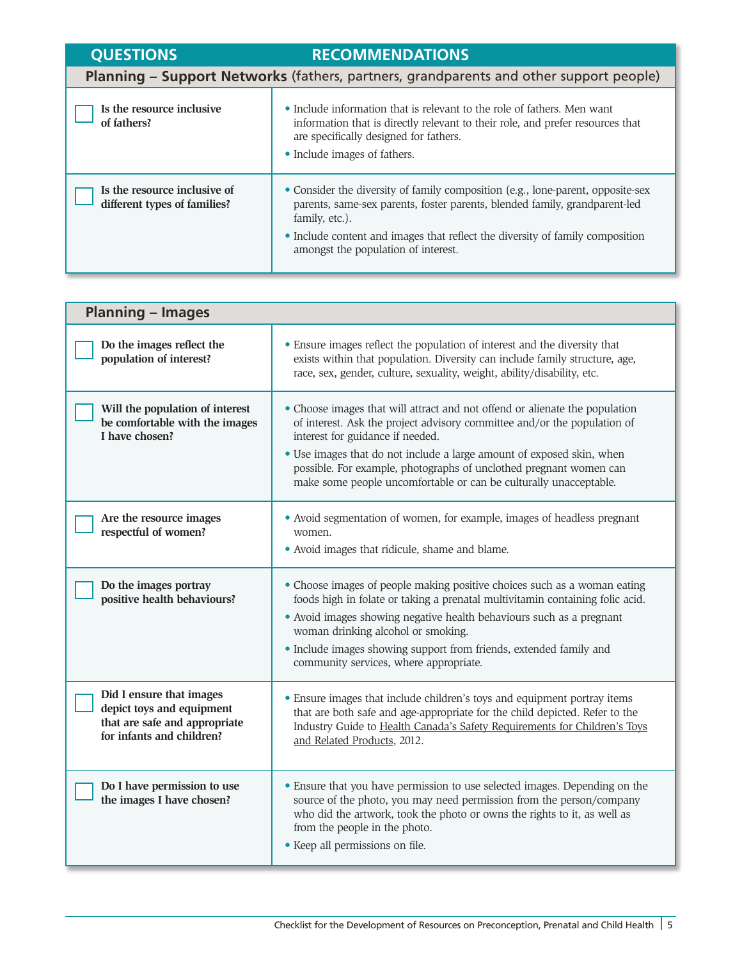| <b>QUESTIONS</b>                                             | <b>RECOMMENDATIONS</b>                                                                                                                                                                                                                                                                                  |
|--------------------------------------------------------------|---------------------------------------------------------------------------------------------------------------------------------------------------------------------------------------------------------------------------------------------------------------------------------------------------------|
|                                                              | Planning - Support Networks (fathers, partners, grandparents and other support people)                                                                                                                                                                                                                  |
| Is the resource inclusive<br>of fathers?                     | • Include information that is relevant to the role of fathers. Men want<br>information that is directly relevant to their role, and prefer resources that<br>are specifically designed for fathers.<br>• Include images of fathers.                                                                     |
| Is the resource inclusive of<br>different types of families? | • Consider the diversity of family composition (e.g., lone-parent, opposite-sex<br>parents, same-sex parents, foster parents, blended family, grandparent-led<br>family, etc.).<br>• Include content and images that reflect the diversity of family composition<br>amongst the population of interest. |

–

| <b>Planning - Images</b>                                                                                            |                                                                                                                                                                                                                                                                                                                                                                                                                 |
|---------------------------------------------------------------------------------------------------------------------|-----------------------------------------------------------------------------------------------------------------------------------------------------------------------------------------------------------------------------------------------------------------------------------------------------------------------------------------------------------------------------------------------------------------|
| Do the images reflect the<br>population of interest?                                                                | • Ensure images reflect the population of interest and the diversity that<br>exists within that population. Diversity can include family structure, age,<br>race, sex, gender, culture, sexuality, weight, ability/disability, etc.                                                                                                                                                                             |
| Will the population of interest<br>be comfortable with the images<br>I have chosen?                                 | • Choose images that will attract and not offend or alienate the population<br>of interest. Ask the project advisory committee and/or the population of<br>interest for guidance if needed.<br>• Use images that do not include a large amount of exposed skin, when<br>possible. For example, photographs of unclothed pregnant women can<br>make some people uncomfortable or can be culturally unacceptable. |
| Are the resource images<br>respectful of women?                                                                     | • Avoid segmentation of women, for example, images of headless pregnant<br>women.<br>• Avoid images that ridicule, shame and blame.                                                                                                                                                                                                                                                                             |
| Do the images portray<br>positive health behaviours?                                                                | • Choose images of people making positive choices such as a woman eating<br>foods high in folate or taking a prenatal multivitamin containing folic acid.<br>• Avoid images showing negative health behaviours such as a pregnant<br>woman drinking alcohol or smoking.<br>• Include images showing support from friends, extended family and<br>community services, where appropriate.                         |
| Did I ensure that images<br>depict toys and equipment<br>that are safe and appropriate<br>for infants and children? | • Ensure images that include children's toys and equipment portray items<br>that are both safe and age-appropriate for the child depicted. Refer to the<br>Industry Guide to Health Canada's Safety Requirements for Children's Toys<br>and Related Products, 2012.                                                                                                                                             |
| Do I have permission to use<br>the images I have chosen?                                                            | • Ensure that you have permission to use selected images. Depending on the<br>source of the photo, you may need permission from the person/company<br>who did the artwork, took the photo or owns the rights to it, as well as<br>from the people in the photo.<br>• Keep all permissions on file.                                                                                                              |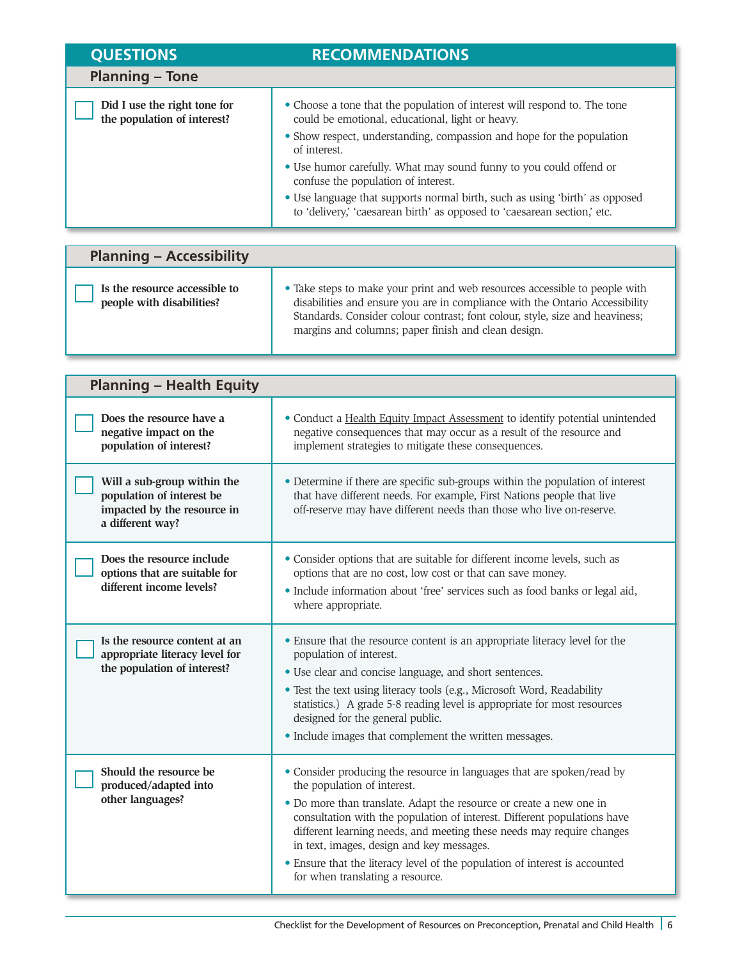| <b>QUESTIONS</b>                                            | <b>RECOMMENDATIONS</b>                                                                                                                                                                                                                                                                                                                                                                                                                                                                         |
|-------------------------------------------------------------|------------------------------------------------------------------------------------------------------------------------------------------------------------------------------------------------------------------------------------------------------------------------------------------------------------------------------------------------------------------------------------------------------------------------------------------------------------------------------------------------|
| <b>Planning - Tone</b>                                      |                                                                                                                                                                                                                                                                                                                                                                                                                                                                                                |
| Did I use the right tone for<br>the population of interest? | • Choose a tone that the population of interest will respond to. The tone<br>could be emotional, educational, light or heavy.<br>• Show respect, understanding, compassion and hope for the population<br>of interest.<br>• Use humor carefully. What may sound funny to you could offend or<br>confuse the population of interest.<br>• Use language that supports normal birth, such as using 'birth' as opposed<br>to 'delivery,' 'caesarean birth' as opposed to 'caesarean section,' etc. |

| <b>Planning - Accessibility</b>                            |                                                                                                                                                                                                                                                                                                    |
|------------------------------------------------------------|----------------------------------------------------------------------------------------------------------------------------------------------------------------------------------------------------------------------------------------------------------------------------------------------------|
| Is the resource accessible to<br>people with disabilities? | • Take steps to make your print and web resources accessible to people with<br>disabilities and ensure you are in compliance with the Ontario Accessibility<br>Standards. Consider colour contrast; font colour, style, size and heaviness;<br>margins and columns; paper finish and clean design. |

| <b>Planning - Health Equity</b>                                                                             |                                                                                                                                                                                                                                                                                                                                                                                                                                                                                                   |
|-------------------------------------------------------------------------------------------------------------|---------------------------------------------------------------------------------------------------------------------------------------------------------------------------------------------------------------------------------------------------------------------------------------------------------------------------------------------------------------------------------------------------------------------------------------------------------------------------------------------------|
| Does the resource have a<br>negative impact on the<br>population of interest?                               | • Conduct a Health Equity Impact Assessment to identify potential unintended<br>negative consequences that may occur as a result of the resource and<br>implement strategies to mitigate these consequences.                                                                                                                                                                                                                                                                                      |
| Will a sub-group within the<br>population of interest be<br>impacted by the resource in<br>a different way? | • Determine if there are specific sub-groups within the population of interest<br>that have different needs. For example, First Nations people that live<br>off-reserve may have different needs than those who live on-reserve.                                                                                                                                                                                                                                                                  |
| Does the resource include<br>options that are suitable for<br>different income levels?                      | • Consider options that are suitable for different income levels, such as<br>options that are no cost, low cost or that can save money.<br>· Include information about 'free' services such as food banks or legal aid,<br>where appropriate.                                                                                                                                                                                                                                                     |
| Is the resource content at an<br>appropriate literacy level for<br>the population of interest?              | • Ensure that the resource content is an appropriate literacy level for the<br>population of interest.<br>• Use clear and concise language, and short sentences.<br>• Test the text using literacy tools (e.g., Microsoft Word, Readability<br>statistics.) A grade 5-8 reading level is appropriate for most resources<br>designed for the general public.<br>• Include images that complement the written messages.                                                                             |
| Should the resource be<br>produced/adapted into<br>other languages?                                         | • Consider producing the resource in languages that are spoken/read by<br>the population of interest.<br>• Do more than translate. Adapt the resource or create a new one in<br>consultation with the population of interest. Different populations have<br>different learning needs, and meeting these needs may require changes<br>in text, images, design and key messages.<br>• Ensure that the literacy level of the population of interest is accounted<br>for when translating a resource. |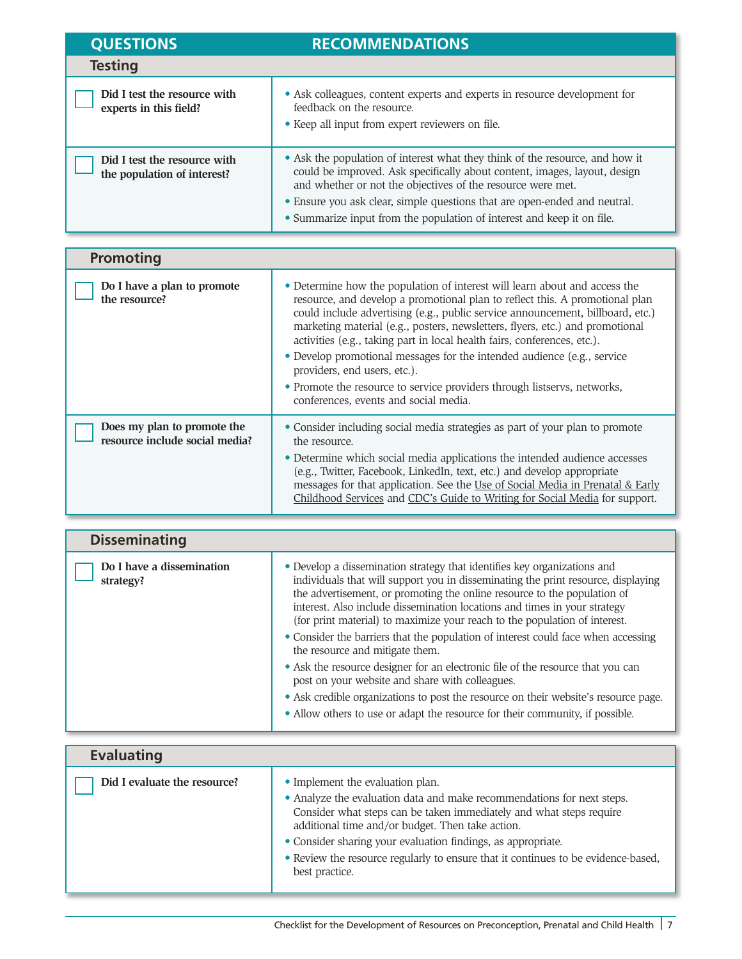| <b>QUESTIONS</b>                                            | <b>RECOMMENDATIONS</b>                                                                                                                                                                                                                                                                                                                                                          |
|-------------------------------------------------------------|---------------------------------------------------------------------------------------------------------------------------------------------------------------------------------------------------------------------------------------------------------------------------------------------------------------------------------------------------------------------------------|
| <b>Testing</b>                                              |                                                                                                                                                                                                                                                                                                                                                                                 |
| Did I test the resource with<br>experts in this field?      | • Ask colleagues, content experts and experts in resource development for<br>feedback on the resource.<br>• Keep all input from expert reviewers on file.                                                                                                                                                                                                                       |
| Did I test the resource with<br>the population of interest? | • Ask the population of interest what they think of the resource, and how it<br>could be improved. Ask specifically about content, images, layout, design<br>and whether or not the objectives of the resource were met.<br>• Ensure you ask clear, simple questions that are open-ended and neutral.<br>• Summarize input from the population of interest and keep it on file. |

| <b>Promoting</b>                                              |                                                                                                                                                                                                                                                                                                                                                                                                                                                                                                                                                                                                                                           |
|---------------------------------------------------------------|-------------------------------------------------------------------------------------------------------------------------------------------------------------------------------------------------------------------------------------------------------------------------------------------------------------------------------------------------------------------------------------------------------------------------------------------------------------------------------------------------------------------------------------------------------------------------------------------------------------------------------------------|
| Do I have a plan to promote<br>the resource?                  | • Determine how the population of interest will learn about and access the<br>resource, and develop a promotional plan to reflect this. A promotional plan<br>could include advertising (e.g., public service announcement, billboard, etc.)<br>marketing material (e.g., posters, newsletters, flyers, etc.) and promotional<br>activities (e.g., taking part in local health fairs, conferences, etc.).<br>• Develop promotional messages for the intended audience (e.g., service<br>providers, end users, etc.).<br>• Promote the resource to service providers through listservs, networks,<br>conferences, events and social media. |
| Does my plan to promote the<br>resource include social media? | • Consider including social media strategies as part of your plan to promote<br>the resource.<br>• Determine which social media applications the intended audience accesses<br>(e.g., Twitter, Facebook, LinkedIn, text, etc.) and develop appropriate<br>messages for that application. See the Use of Social Media in Prenatal & Early<br>Childhood Services and CDC's Guide to Writing for Social Media for support.                                                                                                                                                                                                                   |

| <b>Disseminating</b>                   |                                                                                                                                                                                                                                                                                                                                                                                                      |
|----------------------------------------|------------------------------------------------------------------------------------------------------------------------------------------------------------------------------------------------------------------------------------------------------------------------------------------------------------------------------------------------------------------------------------------------------|
| Do I have a dissemination<br>strategy? | • Develop a dissemination strategy that identifies key organizations and<br>individuals that will support you in disseminating the print resource, displaying<br>the advertisement, or promoting the online resource to the population of<br>interest. Also include dissemination locations and times in your strategy<br>(for print material) to maximize your reach to the population of interest. |
|                                        | • Consider the barriers that the population of interest could face when accessing<br>the resource and mitigate them.                                                                                                                                                                                                                                                                                 |
|                                        | • Ask the resource designer for an electronic file of the resource that you can<br>post on your website and share with colleagues.                                                                                                                                                                                                                                                                   |
|                                        | • Ask credible organizations to post the resource on their website's resource page.                                                                                                                                                                                                                                                                                                                  |
|                                        | • Allow others to use or adapt the resource for their community, if possible.                                                                                                                                                                                                                                                                                                                        |
|                                        |                                                                                                                                                                                                                                                                                                                                                                                                      |

| <b>Evaluating</b>            |                                                                                                                                                                                                                                                                                                                                                                                                              |
|------------------------------|--------------------------------------------------------------------------------------------------------------------------------------------------------------------------------------------------------------------------------------------------------------------------------------------------------------------------------------------------------------------------------------------------------------|
| Did I evaluate the resource? | • Implement the evaluation plan.<br>• Analyze the evaluation data and make recommendations for next steps.<br>Consider what steps can be taken immediately and what steps require<br>additional time and/or budget. Then take action.<br>• Consider sharing your evaluation findings, as appropriate.<br>• Review the resource regularly to ensure that it continues to be evidence-based,<br>best practice. |